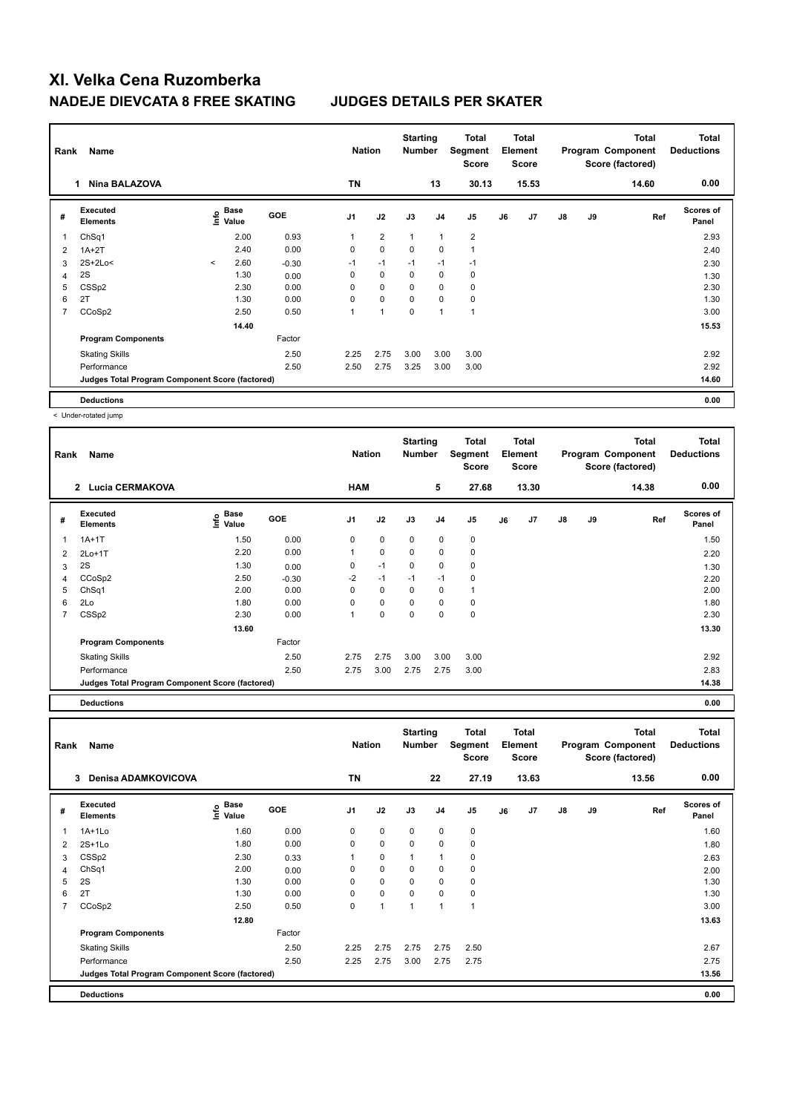| Rank           | Name                                            |         |                           |            | <b>Nation</b>  |                | <b>Starting</b><br><b>Number</b> |                | Total<br>Segment<br><b>Score</b> |    | Total<br>Element<br><b>Score</b> |               |    | Total<br>Program Component<br>Score (factored) | <b>Total</b><br><b>Deductions</b> |
|----------------|-------------------------------------------------|---------|---------------------------|------------|----------------|----------------|----------------------------------|----------------|----------------------------------|----|----------------------------------|---------------|----|------------------------------------------------|-----------------------------------|
|                | <b>Nina BALAZOVA</b><br>1                       |         |                           |            | <b>TN</b>      |                |                                  | 13             | 30.13                            |    | 15.53                            |               |    | 14.60                                          | 0.00                              |
| #              | Executed<br><b>Elements</b>                     |         | Base<br>e Base<br>⊆ Value | <b>GOE</b> | J <sub>1</sub> | J2             | J3                               | J <sub>4</sub> | J5                               | J6 | J7                               | $\mathsf{J}8$ | J9 | Ref                                            | <b>Scores of</b><br>Panel         |
| 1              | ChSq1                                           |         | 2.00                      | 0.93       | $\mathbf{1}$   | $\overline{2}$ | $\mathbf{1}$                     | $\mathbf{1}$   | $\overline{2}$                   |    |                                  |               |    |                                                | 2.93                              |
| 2              | $1A+2T$                                         |         | 2.40                      | 0.00       | 0              | $\pmb{0}$      | $\mathbf 0$                      | $\mathbf 0$    | $\mathbf{1}$                     |    |                                  |               |    |                                                | 2.40                              |
| 3              | 2S+2Lo<                                         | $\prec$ | 2.60                      | $-0.30$    | $-1$           | $-1$           | $-1$                             | $-1$           | $-1$                             |    |                                  |               |    |                                                | 2.30                              |
| 4              | 2S                                              |         | 1.30                      | 0.00       | 0              | 0              | 0                                | 0              | 0                                |    |                                  |               |    |                                                | 1.30                              |
| 5              | CSS <sub>p2</sub>                               |         | 2.30                      | 0.00       | 0              | $\mathbf 0$    | 0                                | $\mathbf 0$    | 0                                |    |                                  |               |    |                                                | 2.30                              |
| 6              | 2T                                              |         | 1.30                      | 0.00       | 0              | $\mathbf 0$    | 0                                | $\mathbf 0$    | 0                                |    |                                  |               |    |                                                | 1.30                              |
| $\overline{7}$ | CCoSp2                                          |         | 2.50                      | 0.50       | 1              | 1              | 0                                | $\overline{1}$ | $\overline{1}$                   |    |                                  |               |    |                                                | 3.00                              |
|                |                                                 |         | 14.40                     |            |                |                |                                  |                |                                  |    |                                  |               |    |                                                | 15.53                             |
|                | <b>Program Components</b>                       |         |                           | Factor     |                |                |                                  |                |                                  |    |                                  |               |    |                                                |                                   |
|                | <b>Skating Skills</b>                           |         |                           | 2.50       | 2.25           | 2.75           | 3.00                             | 3.00           | 3.00                             |    |                                  |               |    |                                                | 2.92                              |
|                | Performance                                     |         |                           | 2.50       | 2.50           | 2.75           | 3.25                             | 3.00           | 3.00                             |    |                                  |               |    |                                                | 2.92                              |
|                | Judges Total Program Component Score (factored) |         |                           |            |                |                |                                  |                |                                  |    |                                  |               |    |                                                | 14.60                             |
|                | <b>Deductions</b>                               |         |                           |            |                |                |                                  |                |                                  |    |                                  |               |    |                                                | 0.00                              |

< Under-rotated jump

| Rank | Name                                            |                     |            | <b>Nation</b>  |             | <b>Starting</b><br><b>Number</b> |                | <b>Total</b><br>Segment<br><b>Score</b> |    | <b>Total</b><br>Element<br><b>Score</b> |               |    | <b>Total</b><br>Program Component<br>Score (factored) | <b>Total</b><br><b>Deductions</b> |
|------|-------------------------------------------------|---------------------|------------|----------------|-------------|----------------------------------|----------------|-----------------------------------------|----|-----------------------------------------|---------------|----|-------------------------------------------------------|-----------------------------------|
|      | <b>Lucia CERMAKOVA</b><br>$\overline{2}$        |                     |            | <b>HAM</b>     |             |                                  | 5              | 27.68                                   |    | 13.30                                   |               |    | 14.38                                                 | 0.00                              |
| #    | Executed<br><b>Elements</b>                     | Base<br>١m<br>Value | <b>GOE</b> | J <sub>1</sub> | J2          | J3                               | J <sub>4</sub> | J <sub>5</sub>                          | J6 | J7                                      | $\mathsf{J}8$ | J9 | Ref                                                   | <b>Scores of</b><br>Panel         |
| 1    | $1A+1T$                                         | 1.50                | 0.00       | 0              | $\mathbf 0$ | $\mathbf 0$                      | $\mathbf 0$    | 0                                       |    |                                         |               |    |                                                       | 1.50                              |
| 2    | $2Lo+1T$                                        | 2.20                | 0.00       |                | $\mathbf 0$ | $\mathbf 0$                      | $\mathbf 0$    | $\pmb{0}$                               |    |                                         |               |    |                                                       | 2.20                              |
| 3    | 2S                                              | 1.30                | 0.00       | 0              | $-1$        | $\mathbf 0$                      | 0              | 0                                       |    |                                         |               |    |                                                       | 1.30                              |
| 4    | CCoSp2                                          | 2.50                | $-0.30$    | $-2$           | $-1$        | $-1$                             | $-1$           | $\mathbf 0$                             |    |                                         |               |    |                                                       | 2.20                              |
| 5    | ChSq1                                           | 2.00                | 0.00       | 0              | 0           | $\mathbf 0$                      | 0              |                                         |    |                                         |               |    |                                                       | 2.00                              |
| 6    | 2Lo                                             | 1.80                | 0.00       | 0              | $\mathbf 0$ | $\mathbf 0$                      | $\mathbf 0$    | 0                                       |    |                                         |               |    |                                                       | 1.80                              |
| 7    | CSS <sub>p2</sub>                               | 2.30                | 0.00       |                | $\mathbf 0$ | $\mathbf 0$                      | $\pmb{0}$      | $\pmb{0}$                               |    |                                         |               |    |                                                       | 2.30                              |
|      |                                                 | 13.60               |            |                |             |                                  |                |                                         |    |                                         |               |    |                                                       | 13.30                             |
|      | <b>Program Components</b>                       |                     | Factor     |                |             |                                  |                |                                         |    |                                         |               |    |                                                       |                                   |
|      | <b>Skating Skills</b>                           |                     | 2.50       | 2.75           | 2.75        | 3.00                             | 3.00           | 3.00                                    |    |                                         |               |    |                                                       | 2.92                              |
|      | Performance                                     |                     | 2.50       | 2.75           | 3.00        | 2.75                             | 2.75           | 3.00                                    |    |                                         |               |    |                                                       | 2.83                              |
|      | Judges Total Program Component Score (factored) |                     |            |                |             |                                  |                |                                         |    |                                         |               |    |                                                       | 14.38                             |
|      | <b>Deductions</b>                               |                     |            |                |             |                                  |                |                                         |    |                                         |               |    |                                                       | 0.00                              |

| Rank           | Name                                            |                                           |            | <b>Nation</b>  |             | <b>Starting</b><br><b>Number</b> |                | <b>Total</b><br>Segment<br><b>Score</b> |    | <b>Total</b><br>Element<br><b>Score</b> |               |    | Total<br>Program Component<br>Score (factored) | <b>Total</b><br><b>Deductions</b> |
|----------------|-------------------------------------------------|-------------------------------------------|------------|----------------|-------------|----------------------------------|----------------|-----------------------------------------|----|-----------------------------------------|---------------|----|------------------------------------------------|-----------------------------------|
|                | 3<br><b>Denisa ADAMKOVICOVA</b>                 |                                           |            | <b>TN</b>      |             |                                  | 22             | 27.19                                   |    | 13.63                                   |               |    | 13.56                                          | 0.00                              |
| #              | Executed<br><b>Elements</b>                     | $\frac{6}{5}$ Base<br>$\frac{1}{5}$ Value | <b>GOE</b> | J <sub>1</sub> | J2          | J3                               | J <sub>4</sub> | J <sub>5</sub>                          | J6 | J7                                      | $\mathsf{J}8$ | J9 | Ref                                            | Scores of<br>Panel                |
| 1              | $1A+1Lo$                                        | 1.60                                      | 0.00       | 0              | $\mathbf 0$ | $\mathbf 0$                      | $\mathbf 0$    | $\mathbf 0$                             |    |                                         |               |    |                                                | 1.60                              |
| 2              | $2S+1Lo$                                        | 1.80                                      | 0.00       | 0              | $\mathbf 0$ | $\Omega$                         | 0              | 0                                       |    |                                         |               |    |                                                | 1.80                              |
| 3              | CSS <sub>p2</sub>                               | 2.30                                      | 0.33       |                | $\mathbf 0$ | 1                                | 1              | 0                                       |    |                                         |               |    |                                                | 2.63                              |
| 4              | Ch <sub>Sq1</sub>                               | 2.00                                      | 0.00       | 0              | $\mathbf 0$ | 0                                | 0              | $\mathbf 0$                             |    |                                         |               |    |                                                | 2.00                              |
| 5              | 2S                                              | 1.30                                      | 0.00       | 0              | $\mathbf 0$ | 0                                | 0              | 0                                       |    |                                         |               |    |                                                | 1.30                              |
| 6              | 2T                                              | 1.30                                      | 0.00       | 0              | $\mathbf 0$ | $\Omega$                         | 0              | 0                                       |    |                                         |               |    |                                                | 1.30                              |
| $\overline{7}$ | CCoSp2                                          | 2.50                                      | 0.50       | 0              | 1           | 1                                | $\overline{1}$ | $\overline{1}$                          |    |                                         |               |    |                                                | 3.00                              |
|                |                                                 | 12.80                                     |            |                |             |                                  |                |                                         |    |                                         |               |    |                                                | 13.63                             |
|                | <b>Program Components</b>                       |                                           | Factor     |                |             |                                  |                |                                         |    |                                         |               |    |                                                |                                   |
|                | <b>Skating Skills</b>                           |                                           | 2.50       | 2.25           | 2.75        | 2.75                             | 2.75           | 2.50                                    |    |                                         |               |    |                                                | 2.67                              |
|                | Performance                                     |                                           | 2.50       | 2.25           | 2.75        | 3.00                             | 2.75           | 2.75                                    |    |                                         |               |    |                                                | 2.75                              |
|                | Judges Total Program Component Score (factored) |                                           |            |                |             |                                  |                |                                         |    |                                         |               |    |                                                | 13.56                             |
|                | <b>Deductions</b>                               |                                           |            |                |             |                                  |                |                                         |    |                                         |               |    |                                                | 0.00                              |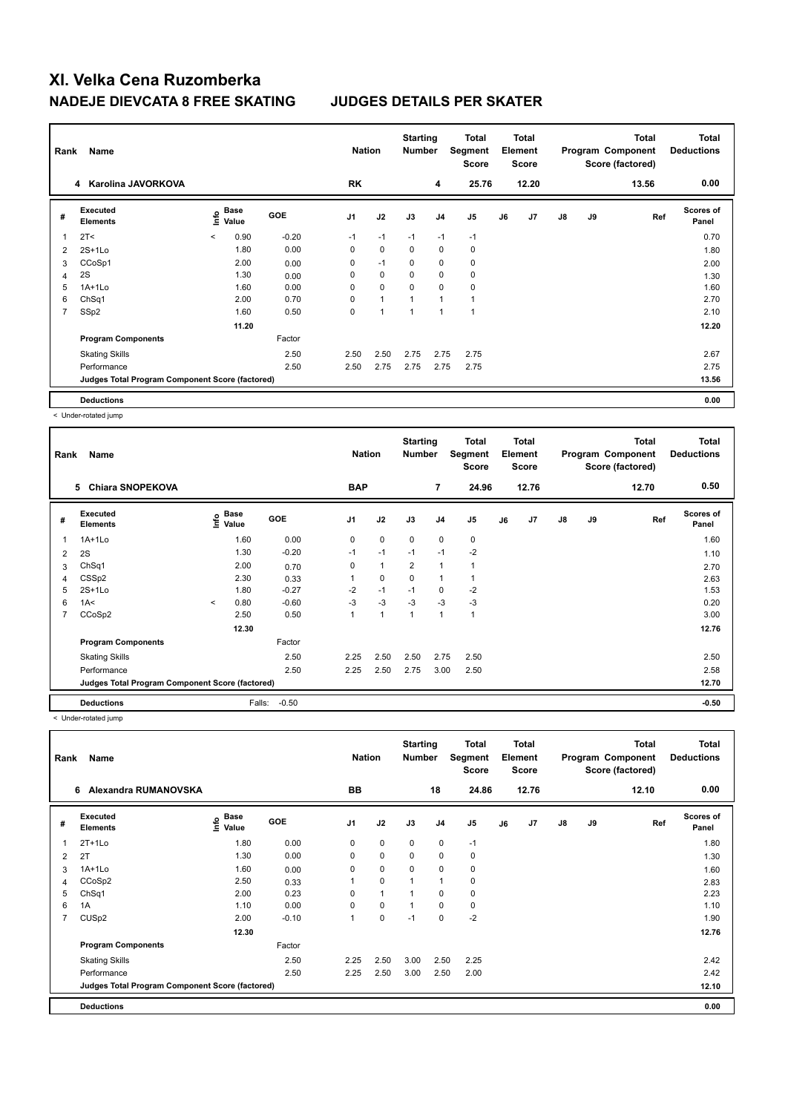| Rank                    | Name                                            |         |               |            | <b>Nation</b>  |              | <b>Starting</b><br><b>Number</b> |                | Total<br>Segment<br><b>Score</b> |    | <b>Total</b><br>Element<br><b>Score</b> |               |    | Total<br>Program Component<br>Score (factored) | <b>Total</b><br><b>Deductions</b> |
|-------------------------|-------------------------------------------------|---------|---------------|------------|----------------|--------------|----------------------------------|----------------|----------------------------------|----|-----------------------------------------|---------------|----|------------------------------------------------|-----------------------------------|
|                         | 4 Karolina JAVORKOVA                            |         |               |            | <b>RK</b>      |              |                                  | 4              | 25.76                            |    | 12.20                                   |               |    | 13.56                                          | 0.00                              |
| #                       | Executed<br><b>Elements</b>                     | ١nfo    | Base<br>Value | <b>GOE</b> | J <sub>1</sub> | J2           | J3                               | J <sub>4</sub> | J <sub>5</sub>                   | J6 | J7                                      | $\mathsf{J}8$ | J9 | Ref                                            | <b>Scores of</b><br>Panel         |
| $\overline{\mathbf{1}}$ | 2T <                                            | $\prec$ | 0.90          | $-0.20$    | $-1$           | $-1$         | $-1$                             | $-1$           | $-1$                             |    |                                         |               |    |                                                | 0.70                              |
| 2                       | $2S+1Lo$                                        |         | 1.80          | 0.00       | 0              | $\mathbf 0$  | 0                                | $\mathbf 0$    | 0                                |    |                                         |               |    |                                                | 1.80                              |
| 3                       | CCoSp1                                          |         | 2.00          | 0.00       | 0              | $-1$         | 0                                | 0              | 0                                |    |                                         |               |    |                                                | 2.00                              |
| 4                       | 2S                                              |         | 1.30          | 0.00       | 0              | 0            | 0                                | $\mathbf 0$    | 0                                |    |                                         |               |    |                                                | 1.30                              |
| 5                       | $1A+1L0$                                        |         | 1.60          | 0.00       | 0              | $\mathbf 0$  | $\mathbf 0$                      | $\mathbf 0$    | 0                                |    |                                         |               |    |                                                | 1.60                              |
| 6                       | Ch <sub>Sq1</sub>                               |         | 2.00          | 0.70       | 0              | $\mathbf{1}$ |                                  | 1              |                                  |    |                                         |               |    |                                                | 2.70                              |
| $\overline{7}$          | SSp2                                            |         | 1.60          | 0.50       | 0              | 1            |                                  | $\overline{1}$ | 1                                |    |                                         |               |    |                                                | 2.10                              |
|                         |                                                 |         | 11.20         |            |                |              |                                  |                |                                  |    |                                         |               |    |                                                | 12.20                             |
|                         | <b>Program Components</b>                       |         |               | Factor     |                |              |                                  |                |                                  |    |                                         |               |    |                                                |                                   |
|                         | <b>Skating Skills</b>                           |         |               | 2.50       | 2.50           | 2.50         | 2.75                             | 2.75           | 2.75                             |    |                                         |               |    |                                                | 2.67                              |
|                         | Performance                                     |         |               | 2.50       | 2.50           | 2.75         | 2.75                             | 2.75           | 2.75                             |    |                                         |               |    |                                                | 2.75                              |
|                         | Judges Total Program Component Score (factored) |         |               |            |                |              |                                  |                |                                  |    |                                         |               |    |                                                | 13.56                             |
|                         | <b>Deductions</b>                               |         |               |            |                |              |                                  |                |                                  |    |                                         |               |    |                                                | 0.00                              |

< Under-rotated jump

| Rank           | Name                                            |         |                       |            |                | <b>Nation</b> | <b>Starting</b><br><b>Number</b> |                | Total<br>Segment<br><b>Score</b> |    | <b>Total</b><br>Element<br><b>Score</b> |               |    | <b>Total</b><br>Program Component<br>Score (factored) | <b>Total</b><br><b>Deductions</b> |
|----------------|-------------------------------------------------|---------|-----------------------|------------|----------------|---------------|----------------------------------|----------------|----------------------------------|----|-----------------------------------------|---------------|----|-------------------------------------------------------|-----------------------------------|
|                | <b>Chiara SNOPEKOVA</b><br>5                    |         |                       |            | <b>BAP</b>     |               |                                  | $\overline{7}$ | 24.96                            |    | 12.76                                   |               |    | 12.70                                                 | 0.50                              |
| #              | Executed<br><b>Elements</b>                     |         | $\sum_{i=1}^{n}$ Pase | <b>GOE</b> | J <sub>1</sub> | J2            | J3                               | J <sub>4</sub> | J5                               | J6 | J7                                      | $\mathsf{J}8$ | J9 | Ref                                                   | <b>Scores of</b><br>Panel         |
| 1              | $1A+1Lo$                                        |         | 1.60                  | 0.00       | 0              | $\mathbf 0$   | $\mathbf 0$                      | $\mathbf 0$    | 0                                |    |                                         |               |    |                                                       | 1.60                              |
| 2              | 2S                                              |         | 1.30                  | $-0.20$    | $-1$           | $-1$          | $-1$                             | $-1$           | $-2$                             |    |                                         |               |    |                                                       | 1.10                              |
| 3              | ChSq1                                           |         | 2.00                  | 0.70       | 0              | $\mathbf{1}$  | $\overline{2}$                   | $\mathbf{1}$   |                                  |    |                                         |               |    |                                                       | 2.70                              |
| 4              | CSS <sub>p2</sub>                               |         | 2.30                  | 0.33       |                | 0             | 0                                | 1              |                                  |    |                                         |               |    |                                                       | 2.63                              |
| 5              | $2S+1Lo$                                        |         | 1.80                  | $-0.27$    | $-2$           | $-1$          | $-1$                             | 0              | $-2$                             |    |                                         |               |    |                                                       | 1.53                              |
| 6              | 1A<                                             | $\prec$ | 0.80                  | $-0.60$    | $-3$           | $-3$          | $-3$                             | $-3$           | $-3$                             |    |                                         |               |    |                                                       | 0.20                              |
| $\overline{7}$ | CCoSp2                                          |         | 2.50                  | 0.50       |                | 1             |                                  | 1              | 1                                |    |                                         |               |    |                                                       | 3.00                              |
|                |                                                 |         | 12.30                 |            |                |               |                                  |                |                                  |    |                                         |               |    |                                                       | 12.76                             |
|                | <b>Program Components</b>                       |         |                       | Factor     |                |               |                                  |                |                                  |    |                                         |               |    |                                                       |                                   |
|                | <b>Skating Skills</b>                           |         |                       | 2.50       | 2.25           | 2.50          | 2.50                             | 2.75           | 2.50                             |    |                                         |               |    |                                                       | 2.50                              |
|                | Performance                                     |         |                       | 2.50       | 2.25           | 2.50          | 2.75                             | 3.00           | 2.50                             |    |                                         |               |    |                                                       | 2.58                              |
|                | Judges Total Program Component Score (factored) |         |                       |            |                |               |                                  |                |                                  |    |                                         |               |    |                                                       | 12.70                             |
|                | <b>Deductions</b>                               |         | Falls:                | $-0.50$    |                |               |                                  |                |                                  |    |                                         |               |    |                                                       | $-0.50$                           |

< Under-rotated jump

| Rank           | Name                                            |                                  |            | <b>Nation</b>  |                | <b>Starting</b><br><b>Number</b> |                | Total<br>Segment<br><b>Score</b> |    | <b>Total</b><br>Element<br><b>Score</b> |    |    | <b>Total</b><br>Program Component<br>Score (factored) | <b>Total</b><br><b>Deductions</b> |
|----------------|-------------------------------------------------|----------------------------------|------------|----------------|----------------|----------------------------------|----------------|----------------------------------|----|-----------------------------------------|----|----|-------------------------------------------------------|-----------------------------------|
|                | Alexandra RUMANOVSKA<br>6                       |                                  |            | <b>BB</b>      |                |                                  | 18             | 24.86                            |    | 12.76                                   |    |    | 12.10                                                 | 0.00                              |
| #              | Executed<br><b>Elements</b>                     | <b>Base</b><br>e Base<br>⊆ Value | <b>GOE</b> | J <sub>1</sub> | J2             | J3                               | J <sub>4</sub> | J <sub>5</sub>                   | J6 | J <sub>7</sub>                          | J8 | J9 | Ref                                                   | Scores of<br>Panel                |
|                | $2T+1Lo$                                        | 1.80                             | 0.00       | 0              | $\mathbf 0$    | $\mathbf 0$                      | $\mathbf 0$    | $-1$                             |    |                                         |    |    |                                                       | 1.80                              |
| 2              | 2T                                              | 1.30                             | 0.00       | 0              | $\mathbf 0$    | $\mathbf 0$                      | $\mathbf 0$    | $\pmb{0}$                        |    |                                         |    |    |                                                       | 1.30                              |
| 3              | $1A+1Lo$                                        | 1.60                             | 0.00       | 0              | $\mathbf 0$    | 0                                | 0              | 0                                |    |                                         |    |    |                                                       | 1.60                              |
| 4              | CCoSp2                                          | 2.50                             | 0.33       | 1              | $\mathbf 0$    | $\overline{1}$                   | $\overline{1}$ | $\pmb{0}$                        |    |                                         |    |    |                                                       | 2.83                              |
| 5              | ChSq1                                           | 2.00                             | 0.23       | 0              | $\overline{1}$ | 1                                | $\mathbf 0$    | $\mathbf 0$                      |    |                                         |    |    |                                                       | 2.23                              |
| 6              | 1A                                              | 1.10                             | 0.00       | $\Omega$       | $\mathbf 0$    | $\overline{1}$                   | $\mathbf 0$    | $\mathbf 0$                      |    |                                         |    |    |                                                       | 1.10                              |
| $\overline{7}$ | CUS <sub>p2</sub>                               | 2.00                             | $-0.10$    | 1              | $\mathbf 0$    | $-1$                             | $\mathbf 0$    | $-2$                             |    |                                         |    |    |                                                       | 1.90                              |
|                |                                                 | 12.30                            |            |                |                |                                  |                |                                  |    |                                         |    |    |                                                       | 12.76                             |
|                | <b>Program Components</b>                       |                                  | Factor     |                |                |                                  |                |                                  |    |                                         |    |    |                                                       |                                   |
|                | <b>Skating Skills</b>                           |                                  | 2.50       | 2.25           | 2.50           | 3.00                             | 2.50           | 2.25                             |    |                                         |    |    |                                                       | 2.42                              |
|                | Performance                                     |                                  | 2.50       | 2.25           | 2.50           | 3.00                             | 2.50           | 2.00                             |    |                                         |    |    |                                                       | 2.42                              |
|                | Judges Total Program Component Score (factored) |                                  |            |                |                |                                  |                |                                  |    |                                         |    |    |                                                       | 12.10                             |
|                | <b>Deductions</b>                               |                                  |            |                |                |                                  |                |                                  |    |                                         |    |    |                                                       | 0.00                              |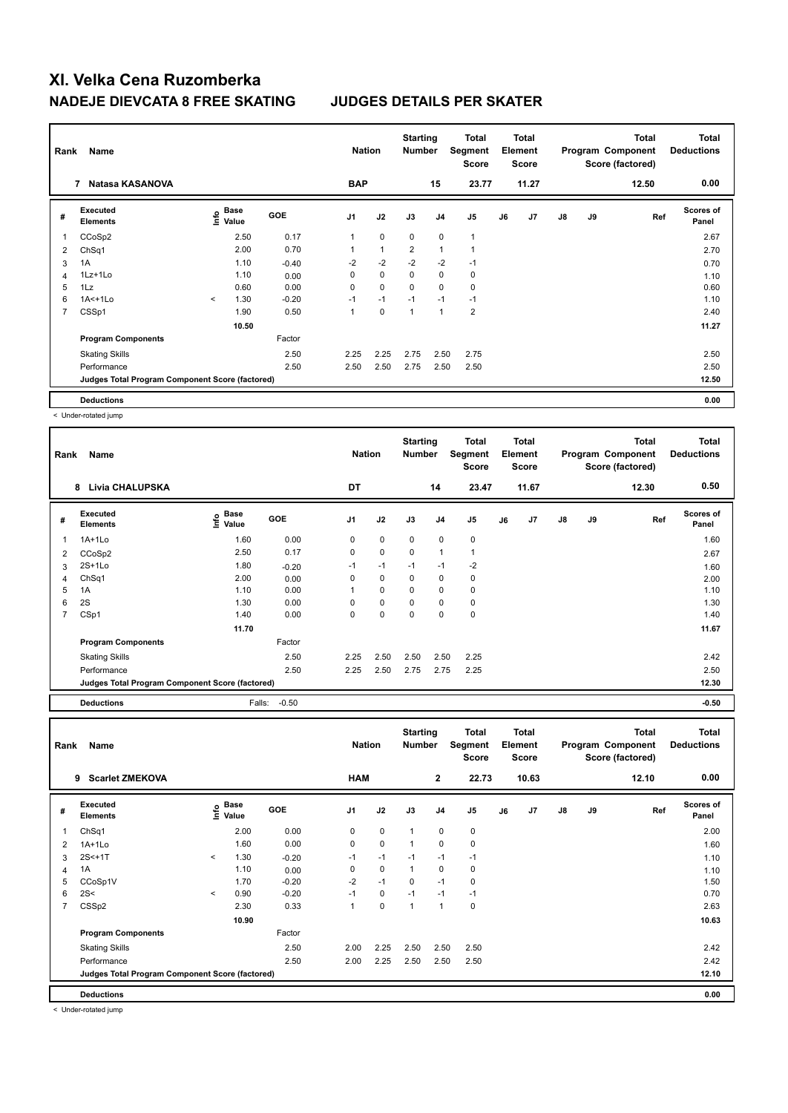| Rank           | Name                                            |                       |       |         | <b>Nation</b>  |                | <b>Starting</b><br><b>Number</b> |                | Total<br>Segment<br><b>Score</b> |    | Total<br>Element<br><b>Score</b> |    |    | <b>Total</b><br>Program Component<br>Score (factored) | <b>Total</b><br><b>Deductions</b> |
|----------------|-------------------------------------------------|-----------------------|-------|---------|----------------|----------------|----------------------------------|----------------|----------------------------------|----|----------------------------------|----|----|-------------------------------------------------------|-----------------------------------|
|                | Natasa KASANOVA<br>7                            |                       |       |         | <b>BAP</b>     |                |                                  | 15             | 23.77                            |    | 11.27                            |    |    | 12.50                                                 | 0.00                              |
| #              | Executed<br><b>Elements</b>                     | Base<br>lnfo<br>Value |       | GOE     | J <sub>1</sub> | J2             | J3                               | J <sub>4</sub> | J <sub>5</sub>                   | J6 | J7                               | J8 | J9 | Ref                                                   | <b>Scores of</b><br>Panel         |
| 1              | CCoSp2                                          |                       | 2.50  | 0.17    | 1              | $\mathbf 0$    | $\Omega$                         | $\mathbf 0$    | $\mathbf{1}$                     |    |                                  |    |    |                                                       | 2.67                              |
| 2              | ChSq1                                           |                       | 2.00  | 0.70    | $\overline{A}$ | $\overline{1}$ | $\overline{2}$                   | $\overline{1}$ | 1                                |    |                                  |    |    |                                                       | 2.70                              |
| 3              | 1A                                              |                       | 1.10  | $-0.40$ | $-2$           | $-2$           | $-2$                             | $-2$           | $-1$                             |    |                                  |    |    |                                                       | 0.70                              |
| 4              | $1Lz+1Lo$                                       |                       | 1.10  | 0.00    | 0              | $\mathbf 0$    | $\mathbf 0$                      | $\mathbf 0$    | 0                                |    |                                  |    |    |                                                       | 1.10                              |
| 5              | 1Lz                                             |                       | 0.60  | 0.00    | 0              | $\mathbf 0$    | 0                                | $\mathbf 0$    | 0                                |    |                                  |    |    |                                                       | 0.60                              |
| 6              | $1A<+1L0$                                       | $\prec$               | 1.30  | $-0.20$ | $-1$           | $-1$           | $-1$                             | $-1$           | $-1$                             |    |                                  |    |    |                                                       | 1.10                              |
| $\overline{7}$ | CSSp1                                           |                       | 1.90  | 0.50    | 1              | $\mathbf 0$    | $\overline{1}$                   | $\overline{1}$ | $\overline{2}$                   |    |                                  |    |    |                                                       | 2.40                              |
|                |                                                 |                       | 10.50 |         |                |                |                                  |                |                                  |    |                                  |    |    |                                                       | 11.27                             |
|                | <b>Program Components</b>                       |                       |       | Factor  |                |                |                                  |                |                                  |    |                                  |    |    |                                                       |                                   |
|                | <b>Skating Skills</b>                           |                       |       | 2.50    | 2.25           | 2.25           | 2.75                             | 2.50           | 2.75                             |    |                                  |    |    |                                                       | 2.50                              |
|                | Performance                                     |                       |       | 2.50    | 2.50           | 2.50           | 2.75                             | 2.50           | 2.50                             |    |                                  |    |    |                                                       | 2.50                              |
|                | Judges Total Program Component Score (factored) |                       |       |         |                |                |                                  |                |                                  |    |                                  |    |    |                                                       | 12.50                             |
|                | <b>Deductions</b>                               |                       |       |         |                |                |                                  |                |                                  |    |                                  |    |    |                                                       | 0.00                              |

< Under-rotated jump

| Rank           | Name                                            |                            |            | <b>Nation</b> |             | <b>Starting</b><br><b>Number</b> |                | <b>Total</b><br>Segment<br><b>Score</b> |    | <b>Total</b><br>Element<br><b>Score</b> |    |    | <b>Total</b><br>Program Component<br>Score (factored) | <b>Total</b><br><b>Deductions</b> |
|----------------|-------------------------------------------------|----------------------------|------------|---------------|-------------|----------------------------------|----------------|-----------------------------------------|----|-----------------------------------------|----|----|-------------------------------------------------------|-----------------------------------|
|                | <b>Livia CHALUPSKA</b><br>8                     |                            |            | DT            |             |                                  | 14             | 23.47                                   |    | 11.67                                   |    |    | 12.30                                                 | 0.50                              |
| #              | <b>Executed</b><br><b>Elements</b>              | <b>Base</b><br>١m<br>Value | <b>GOE</b> | J1            | J2          | J3                               | J <sub>4</sub> | J <sub>5</sub>                          | J6 | J7                                      | J8 | J9 | Ref                                                   | <b>Scores of</b><br>Panel         |
| 1              | $1A+1L0$                                        | 1.60                       | 0.00       | 0             | $\mathbf 0$ | $\mathbf 0$                      | $\mathbf 0$    | 0                                       |    |                                         |    |    |                                                       | 1.60                              |
| 2              | CCoSp2                                          | 2.50                       | 0.17       | 0             | $\mathbf 0$ | $\mathbf 0$                      | $\mathbf{1}$   |                                         |    |                                         |    |    |                                                       | 2.67                              |
| 3              | $2S+1Lo$                                        | 1.80                       | $-0.20$    | $-1$          | $-1$        | $-1$                             | $-1$           | $-2$                                    |    |                                         |    |    |                                                       | 1.60                              |
| 4              | Ch <sub>Sq1</sub>                               | 2.00                       | 0.00       | 0             | 0           | $\mathbf 0$                      | 0              | 0                                       |    |                                         |    |    |                                                       | 2.00                              |
| 5              | 1A                                              | 1.10                       | 0.00       |               | 0           | 0                                | 0              | 0                                       |    |                                         |    |    |                                                       | 1.10                              |
| 6              | 2S                                              | 1.30                       | 0.00       | 0             | $\mathbf 0$ | 0                                | 0              | 0                                       |    |                                         |    |    |                                                       | 1.30                              |
| $\overline{7}$ | CSp1                                            | 1.40                       | 0.00       | 0             | $\mathbf 0$ | $\mathbf 0$                      | $\mathbf 0$    | $\mathbf 0$                             |    |                                         |    |    |                                                       | 1.40                              |
|                |                                                 | 11.70                      |            |               |             |                                  |                |                                         |    |                                         |    |    |                                                       | 11.67                             |
|                | <b>Program Components</b>                       |                            | Factor     |               |             |                                  |                |                                         |    |                                         |    |    |                                                       |                                   |
|                | <b>Skating Skills</b>                           |                            | 2.50       | 2.25          | 2.50        | 2.50                             | 2.50           | 2.25                                    |    |                                         |    |    |                                                       | 2.42                              |
|                | Performance                                     |                            | 2.50       | 2.25          | 2.50        | 2.75                             | 2.75           | 2.25                                    |    |                                         |    |    |                                                       | 2.50                              |
|                | Judges Total Program Component Score (factored) |                            |            |               |             |                                  |                |                                         |    |                                         |    |    |                                                       | 12.30                             |
|                | <b>Deductions</b>                               | Falls:                     | $-0.50$    |               |             |                                  |                |                                         |    |                                         |    |    |                                                       | $-0.50$                           |

| Rank           | Name                                            |         |                                  |            | <b>Nation</b> |             | <b>Starting</b><br><b>Number</b> |              | <b>Total</b><br><b>Segment</b><br><b>Score</b> |    | <b>Total</b><br>Element<br><b>Score</b> |               |    | <b>Total</b><br>Program Component<br>Score (factored) | <b>Total</b><br><b>Deductions</b> |
|----------------|-------------------------------------------------|---------|----------------------------------|------------|---------------|-------------|----------------------------------|--------------|------------------------------------------------|----|-----------------------------------------|---------------|----|-------------------------------------------------------|-----------------------------------|
|                | <b>Scarlet ZMEKOVA</b><br>9                     |         |                                  |            | <b>HAM</b>    |             |                                  | $\mathbf{2}$ | 22.73                                          |    | 10.63                                   |               |    | 12.10                                                 | 0.00                              |
| #              | Executed<br><b>Elements</b>                     |         | <b>Base</b><br>e Base<br>⊆ Value | <b>GOE</b> | J1            | J2          | J3                               | J4           | J5                                             | J6 | J <sub>7</sub>                          | $\mathsf{J}8$ | J9 | Ref                                                   | <b>Scores of</b><br>Panel         |
| $\overline{1}$ | Ch <sub>Sq1</sub>                               |         | 2.00                             | 0.00       | 0             | $\mathbf 0$ | $\mathbf{1}$                     | 0            | $\pmb{0}$                                      |    |                                         |               |    |                                                       | 2.00                              |
| $\overline{2}$ | $1A+1L0$                                        |         | 1.60                             | 0.00       | $\mathbf 0$   | $\mathbf 0$ | $\mathbf{1}$                     | 0            | $\mathbf 0$                                    |    |                                         |               |    |                                                       | 1.60                              |
| 3              | $2S<+1T$                                        | $\prec$ | 1.30                             | $-0.20$    | $-1$          | $-1$        | $-1$                             | $-1$         | $-1$                                           |    |                                         |               |    |                                                       | 1.10                              |
| 4              | 1A                                              |         | 1.10                             | 0.00       | 0             | $\mathbf 0$ | $\mathbf{1}$                     | 0            | 0                                              |    |                                         |               |    |                                                       | 1.10                              |
| 5              | CCoSp1V                                         |         | 1.70                             | $-0.20$    | $-2$          | $-1$        | $\mathbf 0$                      | $-1$         | 0                                              |    |                                         |               |    |                                                       | 1.50                              |
| 6              | 2S<                                             | $\prec$ | 0.90                             | $-0.20$    | $-1$          | $\mathbf 0$ | $-1$                             | $-1$         | $-1$                                           |    |                                         |               |    |                                                       | 0.70                              |
| $\overline{7}$ | CSS <sub>p2</sub>                               |         | 2.30                             | 0.33       | $\mathbf{1}$  | $\pmb{0}$   | $\mathbf{1}$                     | 1            | $\pmb{0}$                                      |    |                                         |               |    |                                                       | 2.63                              |
|                |                                                 |         | 10.90                            |            |               |             |                                  |              |                                                |    |                                         |               |    |                                                       | 10.63                             |
|                | <b>Program Components</b>                       |         |                                  | Factor     |               |             |                                  |              |                                                |    |                                         |               |    |                                                       |                                   |
|                | <b>Skating Skills</b>                           |         |                                  | 2.50       | 2.00          | 2.25        | 2.50                             | 2.50         | 2.50                                           |    |                                         |               |    |                                                       | 2.42                              |
|                | Performance                                     |         |                                  | 2.50       | 2.00          | 2.25        | 2.50                             | 2.50         | 2.50                                           |    |                                         |               |    |                                                       | 2.42                              |
|                | Judges Total Program Component Score (factored) |         |                                  |            |               |             |                                  |              |                                                |    |                                         |               |    |                                                       | 12.10                             |
|                | <b>Deductions</b>                               |         |                                  |            |               |             |                                  |              |                                                |    |                                         |               |    |                                                       | 0.00                              |

< Under-rotated jump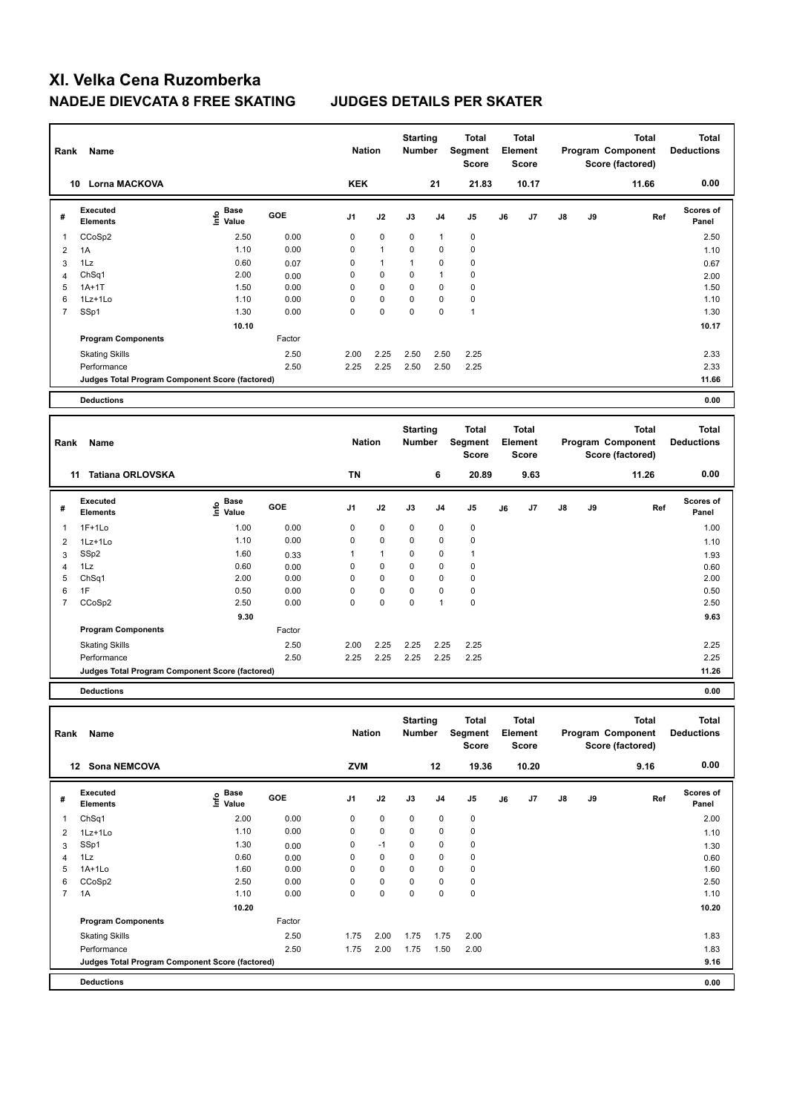| Rank                | Name                                            |                                           |              | <b>Nation</b>  |              | <b>Starting</b><br>Number |                | <b>Total</b><br>Segment<br><b>Score</b> |    | <b>Total</b><br>Element<br>Score        |    |    | <b>Total</b><br>Program Component<br>Score (factored) | <b>Total</b><br><b>Deductions</b> |
|---------------------|-------------------------------------------------|-------------------------------------------|--------------|----------------|--------------|---------------------------|----------------|-----------------------------------------|----|-----------------------------------------|----|----|-------------------------------------------------------|-----------------------------------|
|                     | 10 Lorna MACKOVA                                |                                           |              | <b>KEK</b>     |              |                           | 21             | 21.83                                   |    | 10.17                                   |    |    | 11.66                                                 | 0.00                              |
| #                   | <b>Executed</b><br><b>Elements</b>              | $\frac{e}{E}$ Base<br>$\frac{e}{E}$ Value | GOE          | J <sub>1</sub> | J2           | J3                        | J <sub>4</sub> | J <sub>5</sub>                          | J6 | J <sub>7</sub>                          | J8 | J9 | Ref                                                   | Scores of<br>Panel                |
| $\mathbf{1}$        | CCoSp2                                          | 2.50                                      | 0.00         | $\mathbf 0$    | 0            | 0                         | $\mathbf{1}$   | $\mathbf 0$                             |    |                                         |    |    |                                                       | 2.50                              |
| $\overline{2}$      | 1A                                              | 1.10                                      | 0.00         | $\mathbf 0$    | $\mathbf{1}$ | 0                         | 0              | $\mathbf 0$                             |    |                                         |    |    |                                                       | 1.10                              |
| 3                   | 1Lz                                             | 0.60                                      | 0.07         | $\mathbf 0$    | $\mathbf{1}$ | $\mathbf{1}$              | 0              | $\mathbf 0$                             |    |                                         |    |    |                                                       | 0.67                              |
| $\overline{4}$      | ChSq1                                           | 2.00                                      | 0.00         | $\mathbf 0$    | $\Omega$     | $\mathbf 0$               | $\overline{1}$ | $\mathbf 0$                             |    |                                         |    |    |                                                       | 2.00                              |
| 5                   | $1A+1T$                                         | 1.50                                      | 0.00         | $\mathbf 0$    | 0            | 0                         | $\mathbf 0$    | $\mathbf 0$                             |    |                                         |    |    |                                                       | 1.50                              |
| 6                   | 1Lz+1Lo                                         | 1.10                                      | 0.00         | $\mathbf 0$    | 0            | 0                         | $\mathbf 0$    | $\pmb{0}$                               |    |                                         |    |    |                                                       | 1.10                              |
| $\overline{7}$      | SSp1                                            | 1.30                                      | 0.00         | $\mathbf 0$    | $\mathbf 0$  | 0                         | $\mathbf 0$    | $\overline{1}$                          |    |                                         |    |    |                                                       | 1.30                              |
|                     |                                                 | 10.10                                     |              |                |              |                           |                |                                         |    |                                         |    |    |                                                       | 10.17                             |
|                     | <b>Program Components</b>                       |                                           | Factor       |                |              |                           |                |                                         |    |                                         |    |    |                                                       |                                   |
|                     | <b>Skating Skills</b>                           |                                           | 2.50         | 2.00           | 2.25         | 2.50                      | 2.50           | 2.25                                    |    |                                         |    |    |                                                       | 2.33                              |
|                     | Performance                                     |                                           | 2.50         | 2.25           | 2.25         | 2.50                      | 2.50           | 2.25                                    |    |                                         |    |    |                                                       | 2.33                              |
|                     | Judges Total Program Component Score (factored) |                                           |              |                |              |                           |                |                                         |    |                                         |    |    |                                                       | 11.66                             |
|                     |                                                 |                                           |              |                |              |                           |                |                                         |    |                                         |    |    |                                                       |                                   |
|                     |                                                 |                                           |              |                |              |                           |                |                                         |    |                                         |    |    |                                                       |                                   |
|                     | <b>Deductions</b>                               |                                           |              |                |              |                           |                |                                         |    |                                         |    |    |                                                       | 0.00                              |
| Rank                | Name                                            |                                           |              | <b>Nation</b>  |              | <b>Starting</b><br>Number |                | <b>Total</b><br>Segment<br><b>Score</b> |    | <b>Total</b><br>Element<br><b>Score</b> |    |    | <b>Total</b><br>Program Component<br>Score (factored) | <b>Total</b><br><b>Deductions</b> |
|                     | 11 Tatiana ORLOVSKA                             |                                           |              | <b>TN</b>      |              |                           | 6              | 20.89                                   |    | 9.63                                    |    |    | 11.26                                                 | 0.00                              |
| #                   | <b>Executed</b><br><b>Elements</b>              | e Base<br>E Value                         | GOE          | J <sub>1</sub> | J2           | J3                        | J <sub>4</sub> | J <sub>5</sub>                          | J6 | J7                                      | J8 | J9 | Ref                                                   | Scores of<br>Panel                |
| $\mathbf{1}$        | $1F+1Lo$                                        | 1.00                                      | 0.00         | $\mathbf 0$    | 0            | 0                         | 0              | $\mathbf 0$                             |    |                                         |    |    |                                                       | 1.00                              |
| $\overline{2}$      |                                                 | 1.10                                      | 0.00         | $\mathbf 0$    | 0            | 0                         | 0              | $\mathbf 0$                             |    |                                         |    |    |                                                       |                                   |
|                     | 1Lz+1Lo<br>SSp2                                 | 1.60                                      |              | 1              | $\mathbf{1}$ | 0                         | $\mathbf 0$    | $\mathbf{1}$                            |    |                                         |    |    |                                                       | 1.10                              |
| 3<br>$\overline{4}$ | 1Lz                                             | 0.60                                      | 0.33<br>0.00 | 0              | 0            | 0                         | $\mathbf 0$    | $\mathbf 0$                             |    |                                         |    |    |                                                       | 1.93                              |
| 5                   | ChSq1                                           | 2.00                                      | 0.00         | $\mathbf 0$    | $\Omega$     | $\mathbf 0$               | $\Omega$       | $\mathbf 0$                             |    |                                         |    |    |                                                       | 0.60<br>2.00                      |
| 6                   | 1F                                              | 0.50                                      | 0.00         | 0              | 0            | 0                         | 0              | $\mathbf 0$                             |    |                                         |    |    |                                                       | 0.50                              |
| $\overline{7}$      | CCoSp2                                          | 2.50                                      | 0.00         | $\Omega$       | $\mathbf 0$  | $\mathbf 0$               | $\mathbf{1}$   | $\mathbf 0$                             |    |                                         |    |    |                                                       | 2.50                              |
|                     |                                                 | 9.30                                      |              |                |              |                           |                |                                         |    |                                         |    |    |                                                       | 9.63                              |
|                     | <b>Program Components</b>                       |                                           | Factor       |                |              |                           |                |                                         |    |                                         |    |    |                                                       |                                   |
|                     |                                                 |                                           |              |                |              |                           |                |                                         |    |                                         |    |    |                                                       |                                   |
|                     | <b>Skating Skills</b><br>Performance            |                                           | 2.50<br>2.50 | 2.00<br>2.25   | 2.25<br>2.25 | 2.25<br>2.25              | 2.25<br>2.25   | 2.25<br>2.25                            |    |                                         |    |    |                                                       | 2.25<br>2.25                      |

**Deductions 0.00**

| Rank           | Name                                            |                             |        | <b>Nation</b>  |             | <b>Starting</b><br><b>Number</b> |                | Total<br>Segment<br><b>Score</b> |    | <b>Total</b><br>Element<br><b>Score</b> |               |    | Total<br>Program Component<br>Score (factored) | <b>Total</b><br><b>Deductions</b> |
|----------------|-------------------------------------------------|-----------------------------|--------|----------------|-------------|----------------------------------|----------------|----------------------------------|----|-----------------------------------------|---------------|----|------------------------------------------------|-----------------------------------|
| 12             | <b>Sona NEMCOVA</b>                             |                             |        | <b>ZVM</b>     |             |                                  | 12             | 19.36                            |    | 10.20                                   |               |    | 9.16                                           | 0.00                              |
| #              | Executed<br><b>Elements</b>                     | Base<br>$\frac{6}{5}$ Value | GOE    | J <sub>1</sub> | J2          | J3                               | J <sub>4</sub> | J <sub>5</sub>                   | J6 | J7                                      | $\mathsf{J}8$ | J9 | Ref                                            | <b>Scores of</b><br>Panel         |
|                | Ch <sub>Sq1</sub>                               | 2.00                        | 0.00   | 0              | $\mathbf 0$ | $\mathbf 0$                      | 0              | 0                                |    |                                         |               |    |                                                | 2.00                              |
| 2              | $1Lz+1Lo$                                       | 1.10                        | 0.00   | 0              | $\mathbf 0$ | 0                                | 0              | 0                                |    |                                         |               |    |                                                | 1.10                              |
| 3              | SSp1                                            | 1.30                        | 0.00   | 0              | $-1$        | 0                                | $\pmb{0}$      | $\pmb{0}$                        |    |                                         |               |    |                                                | 1.30                              |
| 4              | 1Lz                                             | 0.60                        | 0.00   | 0              | $\mathbf 0$ | 0                                | $\mathbf 0$    | $\pmb{0}$                        |    |                                         |               |    |                                                | 0.60                              |
| 5              | $1A+1Lo$                                        | 1.60                        | 0.00   | 0              | $\mathbf 0$ | 0                                | $\pmb{0}$      | 0                                |    |                                         |               |    |                                                | 1.60                              |
| 6              | CCoSp2                                          | 2.50                        | 0.00   | 0              | $\mathbf 0$ | 0                                | 0              | 0                                |    |                                         |               |    |                                                | 2.50                              |
| $\overline{7}$ | 1A                                              | 1.10                        | 0.00   | 0              | $\mathbf 0$ | 0                                | 0              | $\pmb{0}$                        |    |                                         |               |    |                                                | 1.10                              |
|                |                                                 | 10.20                       |        |                |             |                                  |                |                                  |    |                                         |               |    |                                                | 10.20                             |
|                | <b>Program Components</b>                       |                             | Factor |                |             |                                  |                |                                  |    |                                         |               |    |                                                |                                   |
|                | <b>Skating Skills</b>                           |                             | 2.50   | 1.75           | 2.00        | 1.75                             | 1.75           | 2.00                             |    |                                         |               |    |                                                | 1.83                              |
|                | Performance                                     |                             | 2.50   | 1.75           | 2.00        | 1.75                             | 1.50           | 2.00                             |    |                                         |               |    |                                                | 1.83                              |
|                | Judges Total Program Component Score (factored) |                             |        |                |             |                                  |                |                                  |    |                                         |               |    |                                                | 9.16                              |
|                | <b>Deductions</b>                               |                             |        |                |             |                                  |                |                                  |    |                                         |               |    |                                                | 0.00                              |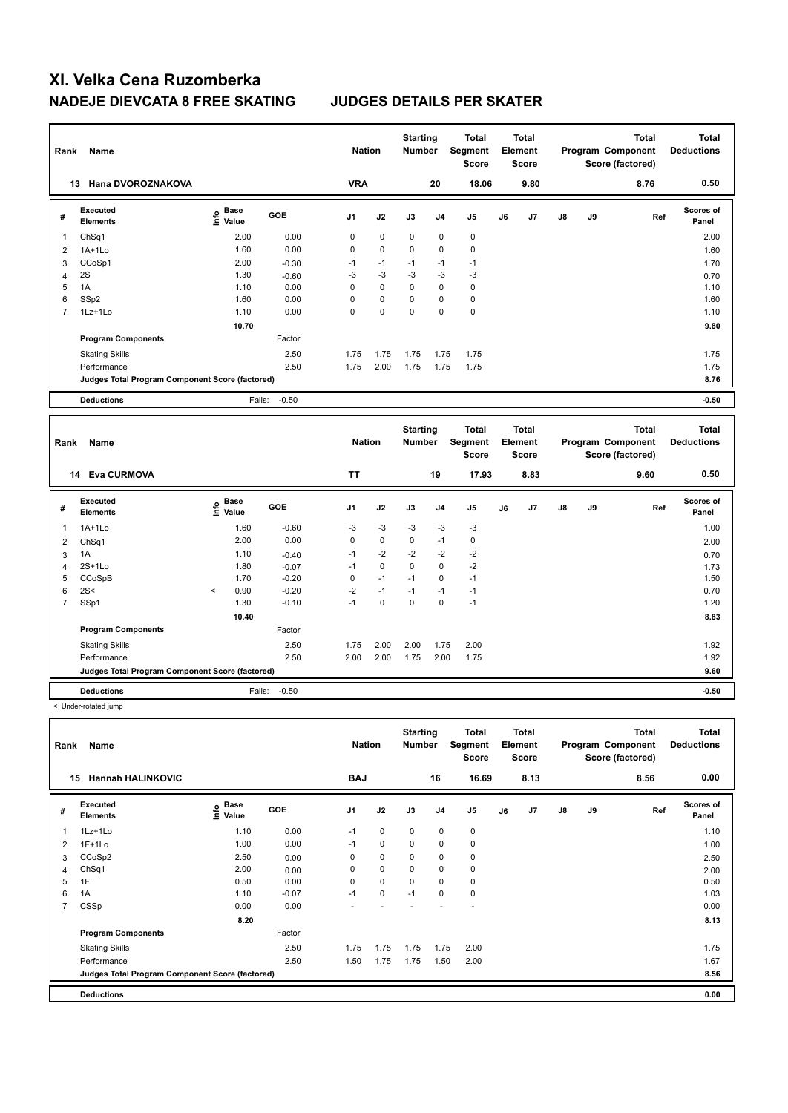| Rank           | Name                                            |                                  |                    | <b>Nation</b> |             | <b>Starting</b><br>Number        |                     | <b>Total</b><br>Segment<br><b>Score</b>        |    | Total<br>Element<br><b>Score</b>        |    |    | <b>Total</b><br>Program Component<br>Score (factored) | <b>Total</b><br><b>Deductions</b> |
|----------------|-------------------------------------------------|----------------------------------|--------------------|---------------|-------------|----------------------------------|---------------------|------------------------------------------------|----|-----------------------------------------|----|----|-------------------------------------------------------|-----------------------------------|
|                | 13 Hana DVOROZNAKOVA                            |                                  |                    | <b>VRA</b>    |             |                                  | 20                  | 18.06                                          |    | 9.80                                    |    |    | 8.76                                                  | 0.50                              |
| #              | <b>Executed</b><br><b>Elements</b>              | <b>Base</b><br>e Base<br>⊆ Value | GOE                | J1            | J2          | J3                               | J <sub>4</sub>      | J <sub>5</sub>                                 | J6 | J7                                      | J8 | J9 | Ref                                                   | Scores of<br>Panel                |
| 1              | ChSq1                                           | 2.00                             | 0.00               | 0             | $\pmb{0}$   | $\mathbf 0$                      | 0                   | $\mathbf 0$                                    |    |                                         |    |    |                                                       | 2.00                              |
| $\overline{2}$ | $1A+1Lo$                                        | 1.60                             | 0.00               | 0             | $\mathbf 0$ | $\mathbf 0$                      | $\mathbf 0$         | 0                                              |    |                                         |    |    |                                                       | 1.60                              |
| 3              | CCoSp1                                          | 2.00                             | $-0.30$            | $-1$          | $-1$        | $-1$                             | $-1$                | $-1$                                           |    |                                         |    |    |                                                       | 1.70                              |
| 4              | 2S                                              | 1.30                             | $-0.60$            | -3            | -3          | $-3$                             | $-3$                | $-3$                                           |    |                                         |    |    |                                                       | 0.70                              |
| 5              | 1A                                              | 1.10                             | 0.00               | $\Omega$      | $\Omega$    | $\Omega$                         | $\mathbf 0$         | $\Omega$                                       |    |                                         |    |    |                                                       | 1.10                              |
| 6              | SSp2                                            | 1.60                             | 0.00               | 0             | $\mathbf 0$ | 0                                | $\pmb{0}$           | $\mathbf 0$                                    |    |                                         |    |    |                                                       | 1.60                              |
| $\overline{7}$ | 1Lz+1Lo                                         | 1.10                             | 0.00               | 0             | $\mathbf 0$ | 0                                | $\mathbf 0$         | $\pmb{0}$                                      |    |                                         |    |    |                                                       | 1.10                              |
|                |                                                 | 10.70                            |                    |               |             |                                  |                     |                                                |    |                                         |    |    |                                                       | 9.80                              |
|                | <b>Program Components</b>                       |                                  | Factor             |               |             |                                  |                     |                                                |    |                                         |    |    |                                                       |                                   |
|                | <b>Skating Skills</b>                           |                                  | 2.50               | 1.75          | 1.75        | 1.75                             | 1.75                | 1.75                                           |    |                                         |    |    |                                                       | 1.75                              |
|                | Performance                                     |                                  | 2.50               | 1.75          | 2.00        | 1.75                             | 1.75                | 1.75                                           |    |                                         |    |    |                                                       | 1.75                              |
|                | Judges Total Program Component Score (factored) |                                  |                    |               |             |                                  |                     |                                                |    |                                         |    |    |                                                       | 8.76                              |
|                |                                                 |                                  |                    |               |             |                                  |                     |                                                |    |                                         |    |    |                                                       |                                   |
|                | <b>Deductions</b>                               |                                  |                    |               |             |                                  |                     |                                                |    |                                         |    |    |                                                       | $-0.50$                           |
|                |                                                 |                                  | $-0.50$<br>Falls:  |               |             |                                  |                     |                                                |    |                                         |    |    |                                                       |                                   |
| Rank           | Name                                            |                                  |                    | <b>Nation</b> |             | <b>Starting</b><br><b>Number</b> |                     | <b>Total</b><br><b>Segment</b><br><b>Score</b> |    | <b>Total</b><br>Element<br><b>Score</b> |    |    | <b>Total</b><br>Program Component<br>Score (factored) | <b>Total</b><br><b>Deductions</b> |
|                | 14 Eva CURMOVA                                  |                                  |                    | <b>TT</b>     |             |                                  | 19                  | 17.93                                          |    | 8.83                                    |    |    | 9.60                                                  | 0.50                              |
| #              | Executed<br>Elements                            | <b>Base</b><br>١nf٥<br>Value     | GOE                | J1            | J2          | J3                               | J <sub>4</sub>      | J <sub>5</sub>                                 | J6 | J7                                      | J8 | J9 | Ref                                                   | Scores of<br>Panel                |
| 1              | 1A+1Lo                                          | 1.60                             | $-0.60$            | -3            | -3          | -3                               | $-3$                | $-3$                                           |    |                                         |    |    |                                                       | 1.00                              |
|                |                                                 | 2.00                             | 0.00               | $\mathbf 0$   | $\mathbf 0$ | $\mathbf 0$                      | $-1$                | $\mathbf 0$                                    |    |                                         |    |    |                                                       |                                   |
| 2              | ChSq1<br>1A                                     | 1.10                             |                    | $-1$          | $-2$        | $-2$                             |                     |                                                |    |                                         |    |    |                                                       | 2.00                              |
| 3<br>4         | $2S+1Lo$                                        | 1.80                             | $-0.40$            | $-1$          | $\mathbf 0$ | $\mathbf 0$                      | $-2$<br>$\mathbf 0$ | $-2$<br>$-2$                                   |    |                                         |    |    |                                                       | 0.70                              |
| 5              | CCoSpB                                          | 1.70                             | $-0.07$<br>$-0.20$ | $\mathbf 0$   | $-1$        | $-1$                             | $\mathbf 0$         | $-1$                                           |    |                                         |    |    |                                                       | 1.73<br>1.50                      |
| 6              | 2S<                                             | 0.90<br>$\,<$                    | $-0.20$            | $-2$          | $-1$        | $-1$                             | $-1$                | $-1$                                           |    |                                         |    |    |                                                       | 0.70                              |
| $\overline{7}$ | SSp1                                            | 1.30                             | $-0.10$            | $-1$          | $\mathbf 0$ | $\Omega$                         | $\Omega$            | $-1$                                           |    |                                         |    |    |                                                       | 1.20                              |
|                |                                                 | 10.40                            |                    |               |             |                                  |                     |                                                |    |                                         |    |    |                                                       | 8.83                              |
|                | <b>Program Components</b>                       |                                  | Factor             |               |             |                                  |                     |                                                |    |                                         |    |    |                                                       |                                   |
|                | <b>Skating Skills</b>                           |                                  | 2.50               | 1.75          | 2.00        | 2.00                             | 1.75                | 2.00                                           |    |                                         |    |    |                                                       | 1.92                              |

< Under-rotated jump

| Rank           | Name                                            |                                  |         | <b>Nation</b>  |             | <b>Starting</b><br><b>Number</b> |                | Total<br>Segment<br><b>Score</b> |    | <b>Total</b><br>Element<br><b>Score</b> |               |    | <b>Total</b><br>Program Component<br>Score (factored) | <b>Total</b><br><b>Deductions</b> |
|----------------|-------------------------------------------------|----------------------------------|---------|----------------|-------------|----------------------------------|----------------|----------------------------------|----|-----------------------------------------|---------------|----|-------------------------------------------------------|-----------------------------------|
| 15             | <b>Hannah HALINKOVIC</b>                        |                                  |         | <b>BAJ</b>     |             |                                  | 16             | 16.69                            |    | 8.13                                    |               |    | 8.56                                                  | 0.00                              |
| #              | Executed<br><b>Elements</b>                     | <b>Base</b><br>e Base<br>⊆ Value | GOE     | J <sub>1</sub> | J2          | J3                               | J <sub>4</sub> | J <sub>5</sub>                   | J6 | J7                                      | $\mathsf{J}8$ | J9 | Ref                                                   | <b>Scores of</b><br>Panel         |
| 1              | 1Lz+1Lo                                         | 1.10                             | 0.00    | $-1$           | $\mathbf 0$ | $\mathbf 0$                      | $\pmb{0}$      | $\mathbf 0$                      |    |                                         |               |    |                                                       | 1.10                              |
| 2              | $1F+1Lo$                                        | 1.00                             | 0.00    | $-1$           | $\mathbf 0$ | 0                                | 0              | 0                                |    |                                         |               |    |                                                       | 1.00                              |
| 3              | CCoSp2                                          | 2.50                             | 0.00    | 0              | $\mathbf 0$ | 0                                | $\pmb{0}$      | $\mathbf 0$                      |    |                                         |               |    |                                                       | 2.50                              |
| 4              | ChSq1                                           | 2.00                             | 0.00    | 0              | $\mathbf 0$ | 0                                | 0              | 0                                |    |                                         |               |    |                                                       | 2.00                              |
| 5              | 1F                                              | 0.50                             | 0.00    | 0              | $\mathbf 0$ | $\mathbf 0$                      | $\mathbf 0$    | $\mathbf 0$                      |    |                                         |               |    |                                                       | 0.50                              |
| 6              | 1A                                              | 1.10                             | $-0.07$ | $-1$           | $\mathbf 0$ | $-1$                             | $\mathbf 0$    | $\mathbf 0$                      |    |                                         |               |    |                                                       | 1.03                              |
| $\overline{7}$ | CSSp                                            | 0.00                             | 0.00    |                |             |                                  |                |                                  |    |                                         |               |    |                                                       | 0.00                              |
|                |                                                 | 8.20                             |         |                |             |                                  |                |                                  |    |                                         |               |    |                                                       | 8.13                              |
|                | <b>Program Components</b>                       |                                  | Factor  |                |             |                                  |                |                                  |    |                                         |               |    |                                                       |                                   |
|                | <b>Skating Skills</b>                           |                                  | 2.50    | 1.75           | 1.75        | 1.75                             | 1.75           | 2.00                             |    |                                         |               |    |                                                       | 1.75                              |
|                | Performance                                     |                                  | 2.50    | 1.50           | 1.75        | 1.75                             | 1.50           | 2.00                             |    |                                         |               |    |                                                       | 1.67                              |
|                | Judges Total Program Component Score (factored) |                                  |         |                |             |                                  |                |                                  |    |                                         |               |    |                                                       | 8.56                              |
|                | <b>Deductions</b>                               |                                  |         |                |             |                                  |                |                                  |    |                                         |               |    |                                                       | 0.00                              |

**Deductions** Falls: -0.50 **-0.50 Judges Total Program Component Score (factored) 9.60**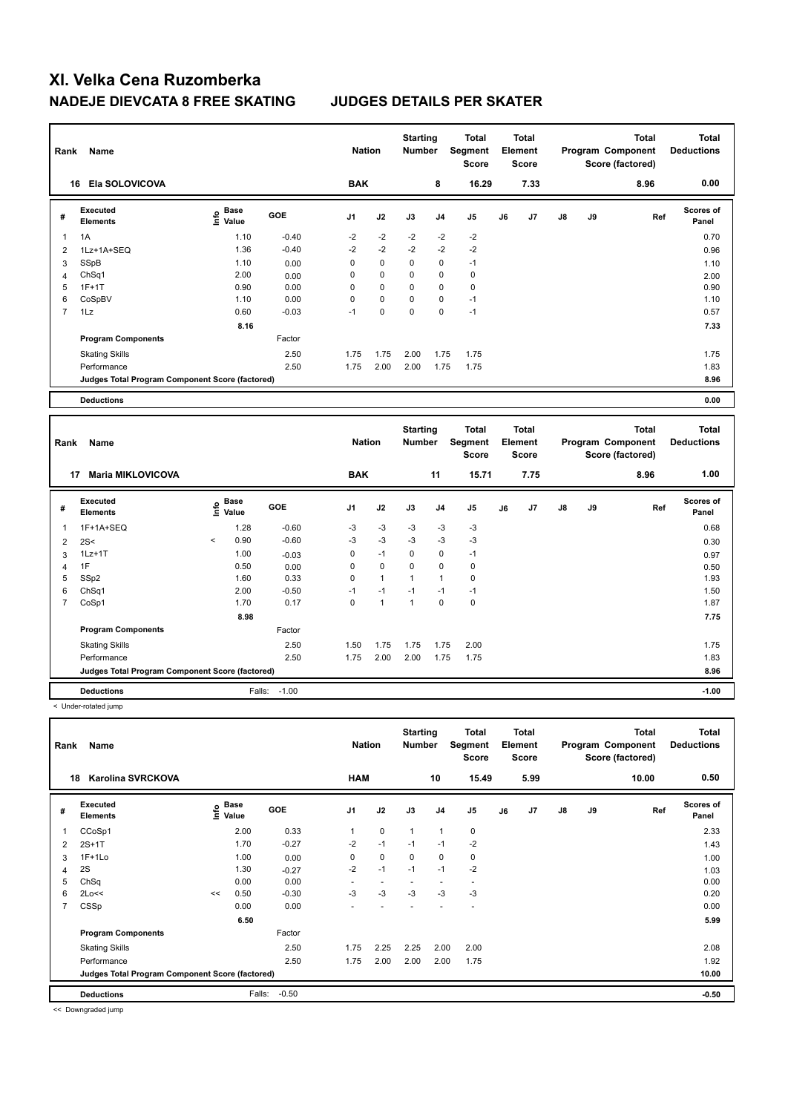| Rank           | <b>Name</b>                                     |                                               |         |                | <b>Nation</b> |                                  | <b>Starting</b><br><b>Number</b> | <b>Total</b><br>Segment<br><b>Score</b>        | <b>Total</b><br>Element<br><b>Score</b> |                                         |               |    | <b>Total</b><br>Program Component<br>Score (factored) | Total<br><b>Deductions</b>        |
|----------------|-------------------------------------------------|-----------------------------------------------|---------|----------------|---------------|----------------------------------|----------------------------------|------------------------------------------------|-----------------------------------------|-----------------------------------------|---------------|----|-------------------------------------------------------|-----------------------------------|
|                | Ela SOLOVICOVA<br>16                            |                                               |         | <b>BAK</b>     |               |                                  | 8                                | 16.29                                          |                                         | 7.33                                    |               |    | 8.96                                                  | 0.00                              |
| #              | Executed<br><b>Elements</b>                     | <b>Base</b><br>$\bullet$<br>$\bar{\Xi}$ Value | GOE     | J <sub>1</sub> | J2            | J3                               | J <sub>4</sub>                   | J <sub>5</sub>                                 | J6                                      | J7                                      | $\mathsf{J}8$ | J9 | Ref                                                   | <b>Scores of</b><br>Panel         |
|                | 1A                                              | 1.10                                          | $-0.40$ | $-2$           | $-2$          | $-2$                             | $-2$                             | $-2$                                           |                                         |                                         |               |    |                                                       | 0.70                              |
| $\overline{2}$ | 1Lz+1A+SEQ                                      | 1.36                                          | $-0.40$ | $-2$           | $-2$          | $-2$                             | $-2$                             | $-2$                                           |                                         |                                         |               |    |                                                       | 0.96                              |
| 3              | SSpB                                            | 1.10                                          | 0.00    | 0              | 0             | $\Omega$                         | $\mathbf 0$                      | $-1$                                           |                                         |                                         |               |    |                                                       | 1.10                              |
| $\overline{4}$ | Ch <sub>Sq1</sub>                               | 2.00                                          | 0.00    | 0              | 0             | 0                                | 0                                | 0                                              |                                         |                                         |               |    |                                                       | 2.00                              |
| 5              | $1F+1T$                                         | 0.90                                          | 0.00    | 0              | $\mathbf 0$   | 0                                | 0                                | 0                                              |                                         |                                         |               |    |                                                       | 0.90                              |
| 6              | CoSpBV                                          | 1.10                                          | 0.00    | $\Omega$       | $\mathbf 0$   | $\Omega$                         | 0                                | $-1$                                           |                                         |                                         |               |    |                                                       | 1.10                              |
| 7              | 1Lz                                             | 0.60                                          | $-0.03$ | $-1$           | 0             | 0                                | 0                                | $-1$                                           |                                         |                                         |               |    |                                                       | 0.57                              |
|                |                                                 | 8.16                                          |         |                |               |                                  |                                  |                                                |                                         |                                         |               |    |                                                       | 7.33                              |
|                | <b>Program Components</b>                       |                                               | Factor  |                |               |                                  |                                  |                                                |                                         |                                         |               |    |                                                       |                                   |
|                | <b>Skating Skills</b>                           |                                               | 2.50    | 1.75           | 1.75          | 2.00                             | 1.75                             | 1.75                                           |                                         |                                         |               |    |                                                       | 1.75                              |
|                | Performance                                     |                                               | 2.50    | 1.75           | 2.00          | 2.00                             | 1.75                             | 1.75                                           |                                         |                                         |               |    |                                                       | 1.83                              |
|                | Judges Total Program Component Score (factored) |                                               |         |                |               |                                  |                                  |                                                |                                         |                                         |               |    |                                                       | 8.96                              |
|                | <b>Deductions</b>                               |                                               |         |                |               |                                  |                                  |                                                |                                         |                                         |               |    |                                                       | 0.00                              |
|                |                                                 |                                               |         |                |               |                                  |                                  |                                                |                                         |                                         |               |    |                                                       |                                   |
| Rank           | Name                                            |                                               |         | <b>Nation</b>  |               | <b>Starting</b><br><b>Number</b> |                                  | <b>Total</b><br><b>Segment</b><br><b>Score</b> |                                         | <b>Total</b><br>Element<br><b>Score</b> |               |    | <b>Total</b><br>Program Component<br>Score (factored) | <b>Total</b><br><b>Deductions</b> |
|                | <b>47 Maria MIKI OVICOVA</b>                    |                                               |         | <b>DAK</b>     |               |                                  | 44.                              | 45.74                                          |                                         | 775                                     |               |    | 9.06                                                  | 1.00                              |

|                | 17<br><b>Maria MIKLOVICOVA</b>                  |         |                                     |            | <b>BAK</b>     |                |             | 11             | 15.71 |    | 7.75 |               |    | 8.96 | 1.00                      |
|----------------|-------------------------------------------------|---------|-------------------------------------|------------|----------------|----------------|-------------|----------------|-------|----|------|---------------|----|------|---------------------------|
| #              | Executed<br><b>Elements</b>                     |         | $\epsilon$ Base<br>$\epsilon$ Value | <b>GOE</b> | J <sub>1</sub> | J2             | J3          | J <sub>4</sub> | J5    | J6 | J7   | $\mathsf{J}8$ | J9 | Ref  | <b>Scores of</b><br>Panel |
|                | 1F+1A+SEQ                                       |         | 1.28                                | $-0.60$    | -3             | $-3$           | $-3$        | $-3$           | $-3$  |    |      |               |    |      | 0.68                      |
| $\overline{2}$ | 2S<                                             | $\,<\,$ | 0.90                                | $-0.60$    | -3             | -3             | -3          | $-3$           | $-3$  |    |      |               |    |      | 0.30                      |
| 3              | $1Lz+1T$                                        |         | 1.00                                | $-0.03$    | 0              | $-1$           | $\mathbf 0$ | 0              | $-1$  |    |      |               |    |      | 0.97                      |
| 4              | 1F                                              |         | 0.50                                | 0.00       | 0              | $\mathbf 0$    | 0           | 0              | 0     |    |      |               |    |      | 0.50                      |
| 5              | SSp2                                            |         | 1.60                                | 0.33       | 0              | $\overline{1}$ |             | $\mathbf{1}$   | 0     |    |      |               |    |      | 1.93                      |
| 6              | Ch <sub>Sq1</sub>                               |         | 2.00                                | $-0.50$    | $-1$           | $-1$           | $-1$        | $-1$           | $-1$  |    |      |               |    |      | 1.50                      |
|                | CoSp1                                           |         | 1.70                                | 0.17       | 0              | 1              | 1           | 0              | 0     |    |      |               |    |      | 1.87                      |
|                |                                                 |         | 8.98                                |            |                |                |             |                |       |    |      |               |    |      | 7.75                      |
|                | <b>Program Components</b>                       |         |                                     | Factor     |                |                |             |                |       |    |      |               |    |      |                           |
|                | <b>Skating Skills</b>                           |         |                                     | 2.50       | 1.50           | 1.75           | 1.75        | 1.75           | 2.00  |    |      |               |    |      | 1.75                      |
|                | Performance                                     |         |                                     | 2.50       | 1.75           | 2.00           | 2.00        | 1.75           | 1.75  |    |      |               |    |      | 1.83                      |
|                | Judges Total Program Component Score (factored) |         |                                     |            |                |                |             |                |       |    |      |               |    |      | 8.96                      |
|                | <b>Deductions</b>                               |         | Falls:                              | $-1.00$    |                |                |             |                |       |    |      |               |    |      | $-1.00$                   |

< Under-rotated jump

**Total Deductions Total Program Component Score (factored) Total Element Segment Score Total Score Starting Rank Name Nation Number # Executed Elements Base Value GOE J1 J2 J3 J4 J5 J6 J7 J8 J9 Scores of Panel** 1 2.00 0.33 1 0 1 1 0 **Ref**  CCoSp1 2.33 **Info 18 Karolina SVRCKOVA HAM 10 15.49 5.99 10.00 0.50** 2 2S+1T 1.70 -0.27 -2 -1 -1 -1 -2 1.43 3 1F+1Lo 1.00 0.00 0 0 0 0 0 1.00  $4 \quad 2$ S 1.03  $-0.27$   $-2$   $-1$   $-1$   $-1$   $-2$  1.03 5 ChSq 0.00 0.00 - - - - - 0.00 6 2Lo<<  $\leq$  0.50 -0.30 -3 -3 -3 -3 -3 -3 -3 0.20 7 CSSp 0.00 0.00 - - - - - 0.00 **6.50** 5.99 **Program Components**  Skating Skills **1.75 2.25 2.25 2.00** 2.00 Factor 2.50 2.08 Performance 2.50 1.75 2.00 2.00 2.00 1.75 1.92 **Deductions** Falls: -0.50 **-0.50 Judges Total Program Component Score (factored) 10.00**

<< Downgraded jump